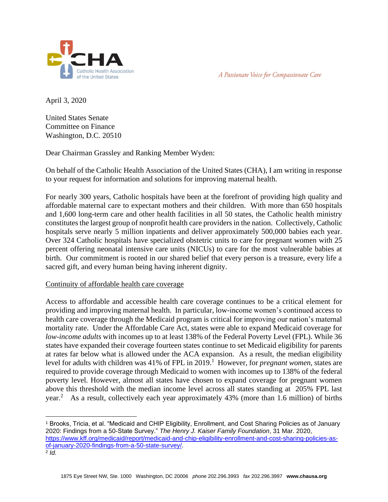



April 3, 2020

United States Senate Committee on Finance Washington, D.C. 20510

Dear Chairman Grassley and Ranking Member Wyden:

On behalf of the Catholic Health Association of the United States (CHA), I am writing in response to your request for information and solutions for improving maternal health.

For nearly 300 years, Catholic hospitals have been at the forefront of providing high quality and affordable maternal care to expectant mothers and their children. With more than 650 hospitals and 1,600 long-term care and other health facilities in all 50 states, the Catholic health ministry constitutes the largest group of nonprofit health care providers in the nation. Collectively, Catholic hospitals serve nearly 5 million inpatients and deliver approximately 500,000 babies each year. Over 324 Catholic hospitals have specialized obstetric units to care for pregnant women with 25 percent offering neonatal intensive care units (NICUs) to care for the most vulnerable babies at birth. Our commitment is rooted in our shared belief that every person is a treasure, every life a sacred gift, and every human being having inherent dignity.

## Continuity of affordable health care coverage

Access to affordable and accessible health care coverage continues to be a critical element for providing and improving maternal health. In particular, low-income women's continued access to health care coverage through the Medicaid program is critical for improving our nation's maternal mortality rate. Under the Affordable Care Act, states were able to expand Medicaid coverage for *low-income adults* with incomes up to at least 138% of the Federal Poverty Level (FPL). While 36 states have expanded their coverage fourteen states continue to set Medicaid eligibility for parents at rates far below what is allowed under the ACA expansion. As a result, the median eligibility level for adults with children was 41% of FPL in 2019.<sup>1</sup> However, for *pregnant women*, states are required to provide coverage through Medicaid to women with incomes up to 138% of the federal poverty level. However, almost all states have chosen to expand coverage for pregnant women above this threshold with the median income level across all states standing at 205% FPL last year.<sup>2</sup> As a result, collectively each year approximately  $43\%$  (more than 1.6 million) of births

<sup>1</sup> Brooks, Tricia, et al. "Medicaid and CHIP Eligibility, Enrollment, and Cost Sharing Policies as of January 2020: Findings from a 50-State Survey." *The Henry J. Kaiser Family Foundation*, 31 Mar. 2020, [https://www.kff.org/medicaid/report/medicaid-and-chip-eligibility-enrollment-and-cost-sharing-policies-as](https://www.kff.org/medicaid/report/medicaid-and-chip-eligibility-enrollment-and-cost-sharing-policies-as-of-january-2020-findings-from-a-50-state-survey/)[of-january-2020-findings-from-a-50-state-survey/.](https://www.kff.org/medicaid/report/medicaid-and-chip-eligibility-enrollment-and-cost-sharing-policies-as-of-january-2020-findings-from-a-50-state-survey/) 2 *Id.*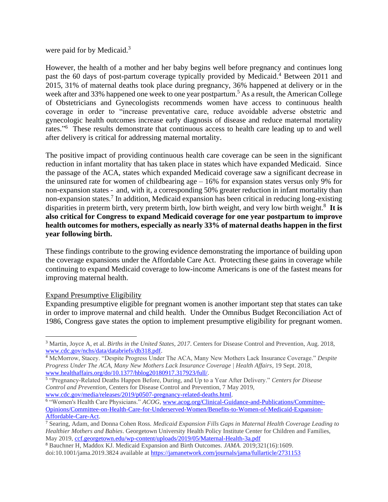were paid for by Medicaid.<sup>3</sup>

However, the health of a mother and her baby begins well before pregnancy and continues long past the 60 days of post-partum coverage typically provided by Medicaid.<sup>4</sup> Between 2011 and 2015, 31% of maternal deaths took place during pregnancy, 36% happened at delivery or in the week after and 33% happened one week to one year postpartum.<sup>5</sup> As a result, the American College of Obstetricians and Gynecologists recommends women have access to continuous health coverage in order to "increase preventative care, reduce avoidable adverse obstetric and gynecologic health outcomes increase early diagnosis of disease and reduce maternal mortality rates."<sup>6</sup> These results demonstrate that continuous access to health care leading up to and well after delivery is critical for addressing maternal mortality.

The positive impact of providing continuous health care coverage can be seen in the significant reduction in infant mortality that has taken place in states which have expanded Medicaid. Since the passage of the ACA, states which expanded Medicaid coverage saw a significant decrease in the uninsured rate for women of childbearing age  $-16\%$  for expansion states versus only 9% for non-expansion states - and, with it, a corresponding 50% greater reduction in infant mortality than non-expansion states.<sup>7</sup> In addition, Medicaid expansion has been critical in reducing long-existing disparities in preterm birth, very preterm birth, low birth weight, and very low birth weight.<sup>8</sup> **It is also critical for Congress to expand Medicaid coverage for one year postpartum to improve health outcomes for mothers, especially as nearly 33% of maternal deaths happen in the first year following birth.**

These findings contribute to the growing evidence demonstrating the importance of building upon the coverage expansions under the Affordable Care Act. Protecting these gains in coverage while continuing to expand Medicaid coverage to low-income Americans is one of the fastest means for improving maternal health.

## Expand Presumptive Eligibility

Expanding presumptive eligible for pregnant women is another important step that states can take in order to improve maternal and child health. Under the Omnibus Budget Reconciliation Act of 1986, Congress gave states the option to implement presumptive eligibility for pregnant women.

<sup>3</sup> Martin, Joyce A, et al. *Births in the United States, 2017*. Centers for Disease Control and Prevention, Aug. 2018, [www.cdc.gov/nchs/data/databriefs/db318.pdf.](http://www.cdc.gov/nchs/data/databriefs/db318.pdf)

<sup>4</sup> McMorrow, Stacey. "Despite Progress Under The ACA, Many New Mothers Lack Insurance Coverage." *Despite Progress Under The ACA, Many New Mothers Lack Insurance Coverage | Health Affairs*, 19 Sept. 2018,

[www.healthaffairs.org/do/10.1377/hblog20180917.317923/full/.](http://www.healthaffairs.org/do/10.1377/hblog20180917.317923/full/) 5 "Pregnancy-Related Deaths Happen Before, During, and Up to a Year After Delivery." *Centers for Disease Control and Prevention*, Centers for Disease Control and Prevention, 7 May 2019, [www.cdc.gov/media/releases/2019/p0507-pregnancy-related-deaths.html.](http://www.cdc.gov/media/releases/2019/p0507-pregnancy-related-deaths.html)

<sup>&</sup>lt;sup>6</sup> "Women's Health Care Physicians." *ACOG*, [www.acog.org/Clinical-Guidance-and-Publications/Committee-](http://www.acog.org/Clinical-Guidance-and-Publications/Committee-Opinions/Committee-on-Health-Care-for-Underserved-Women/Benefits-to-Women-of-Medicaid-Expansion-Affordable-Care-Act)[Opinions/Committee-on-Health-Care-for-Underserved-Women/Benefits-to-Women-of-Medicaid-Expansion-](http://www.acog.org/Clinical-Guidance-and-Publications/Committee-Opinions/Committee-on-Health-Care-for-Underserved-Women/Benefits-to-Women-of-Medicaid-Expansion-Affordable-Care-Act)[Affordable-Care-Act.](http://www.acog.org/Clinical-Guidance-and-Publications/Committee-Opinions/Committee-on-Health-Care-for-Underserved-Women/Benefits-to-Women-of-Medicaid-Expansion-Affordable-Care-Act)

<sup>7</sup> Searing, Adam, and Donna Cohen Ross. *Medicaid Expansion Fills Gaps in Maternal Health Coverage Leading to Healthier Mothers and Babies*. Georgetown University Health Policy Institute Center for Children and Families, May 2019, [ccf.georgetown.edu/wp-content/uploads/2019/05/Maternal-Health-3a.pdf](file:///C:/Users/wb480763/Downloads/ccf.georgetown.edu/wp-content/uploads/2019/05/Maternal-Health-3a.pdf)

<sup>8</sup> Bauchner H, Maddox KJ. Medicaid Expansion and Birth Outcomes. *JAMA.* 2019;321(16):1609. doi:10.1001/jama.2019.3824 available at<https://jamanetwork.com/journals/jama/fullarticle/2731153>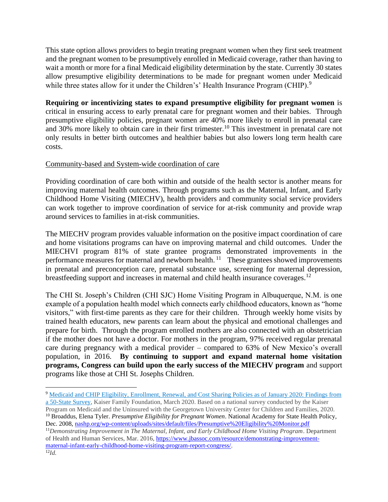This state option allows providers to begin treating pregnant women when they first seek treatment and the pregnant women to be presumptively enrolled in Medicaid coverage, rather than having to wait a month or more for a final Medicaid eligibility determination by the state. Currently 30 states allow presumptive eligibility determinations to be made for pregnant women under Medicaid while three states allow for it under the Children's' Health Insurance Program (CHIP).<sup>9</sup>

**Requiring or incentivizing states to expand presumptive eligibility for pregnant women** is critical in ensuring access to early prenatal care for pregnant women and their babies. Through presumptive eligibility policies, pregnant women are 40% more likely to enroll in prenatal care and 30% more likely to obtain care in their first trimester.<sup>10</sup> This investment in prenatal care not only results in better birth outcomes and healthier babies but also lowers long term health care costs.

## Community-based and System-wide coordination of care

Providing coordination of care both within and outside of the health sector is another means for improving maternal health outcomes. Through programs such as the Maternal, Infant, and Early Childhood Home Visiting (MIECHV), health providers and community social service providers can work together to improve coordination of service for at-risk community and provide wrap around services to families in at-risk communities.

The MIECHV program provides valuable information on the positive impact coordination of care and home visitations programs can have on improving maternal and child outcomes. Under the MIECHVI program 81% of state grantee programs demonstrated improvements in the performance measures for maternal and newborn health.<sup>11</sup> These grantees showed improvements in prenatal and preconception care, prenatal substance use, screening for maternal depression, breastfeeding support and increases in maternal and child health insurance coverages.<sup>12</sup>

The CHI St. Joseph's Children (CHI SJC) Home Visiting Program in Albuquerque, N.M. is one example of a population health model which connects early childhood educators, known as "home visitors," with first-time parents as they care for their children. Through weekly home visits by trained health educators, new parents can learn about the physical and emotional challenges and prepare for birth. Through the program enrolled mothers are also connected with an obstetrician if the mother does not have a doctor. For mothers in the program, 97% received regular prenatal care during pregnancy with a medical provider – compared to 63% of New Mexico's overall population, in 2016. **By continuing to support and expand maternal home visitation programs, Congress can build upon the early success of the MIECHV program** and support programs like those at CHI St. Josephs Children.

Dec. 2008, [nashp.org/wp-content/uploads/sites/default/files/Presumptive%20Eligibility%20Monitor.pdf](https://nashp.org/wp-content/uploads/sites/default/files/Presumptive%20Eligibility%20Monitor.pdf) <sup>11</sup>*Demonstrating Improvement in The Maternal, Infant, and Early Childhood Home Visiting Program*. Department

of Health and Human Services, Mar. 2016, [https://www.jbassoc.com/resource/demonstrating-improvement](https://www.jbassoc.com/resource/demonstrating-improvement-maternal-infant-early-childhood-home-visiting-program-report-congress/)[maternal-infant-early-childhood-home-visiting-program-report-congress/.](https://www.jbassoc.com/resource/demonstrating-improvement-maternal-infant-early-childhood-home-visiting-program-report-congress/) 12*Id.*

<sup>9</sup> Medicaid and CHIP Eligibility, [Enrollment,](https://www.kff.org/medicaid/report/medicaid-and-chip-eligibility-enrollment-and-cost-sharing-policies-as-of-january-2020-findings-from-a-50-state-survey/) Renewal, and Cost Sharing Policies as of January 2020: Findings from a [50-State](https://www.kff.org/medicaid/report/medicaid-and-chip-eligibility-enrollment-and-cost-sharing-policies-as-of-january-2020-findings-from-a-50-state-survey/) Survey, Kaiser Family Foundation, March 2020. Based on a national survey conducted by the Kaiser Program on Medicaid and the Uninsured with the Georgetown University Center for Children and Families, 2020. <sup>10</sup> Broaddus, Elena Tyler. *Presumptive Eligibility for Pregnant Women*. National Academy for State Health Policy,